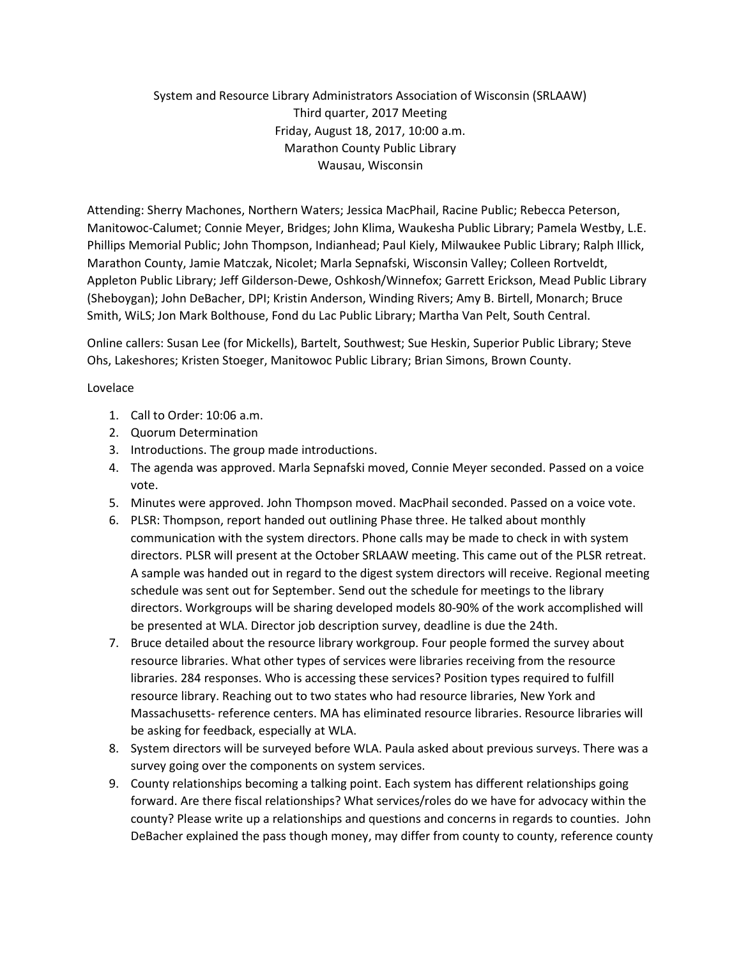## System and Resource Library Administrators Association of Wisconsin (SRLAAW) Third quarter, 2017 Meeting Friday, August 18, 2017, 10:00 a.m. Marathon County Public Library Wausau, Wisconsin

Attending: Sherry Machones, Northern Waters; Jessica MacPhail, Racine Public; Rebecca Peterson, Manitowoc-Calumet; Connie Meyer, Bridges; John Klima, Waukesha Public Library; Pamela Westby, L.E. Phillips Memorial Public; John Thompson, Indianhead; Paul Kiely, Milwaukee Public Library; Ralph Illick, Marathon County, Jamie Matczak, Nicolet; Marla Sepnafski, Wisconsin Valley; Colleen Rortveldt, Appleton Public Library; Jeff Gilderson-Dewe, Oshkosh/Winnefox; Garrett Erickson, Mead Public Library (Sheboygan); John DeBacher, DPI; Kristin Anderson, Winding Rivers; Amy B. Birtell, Monarch; Bruce Smith, WiLS; Jon Mark Bolthouse, Fond du Lac Public Library; Martha Van Pelt, South Central.

Online callers: Susan Lee (for Mickells), Bartelt, Southwest; Sue Heskin, Superior Public Library; Steve Ohs, Lakeshores; Kristen Stoeger, Manitowoc Public Library; Brian Simons, Brown County.

## Lovelace

- 1. Call to Order: 10:06 a.m.
- 2. Quorum Determination
- 3. Introductions. The group made introductions.
- 4. The agenda was approved. Marla Sepnafski moved, Connie Meyer seconded. Passed on a voice vote.
- 5. Minutes were approved. John Thompson moved. MacPhail seconded. Passed on a voice vote.
- 6. PLSR: Thompson, report handed out outlining Phase three. He talked about monthly communication with the system directors. Phone calls may be made to check in with system directors. PLSR will present at the October SRLAAW meeting. This came out of the PLSR retreat. A sample was handed out in regard to the digest system directors will receive. Regional meeting schedule was sent out for September. Send out the schedule for meetings to the library directors. Workgroups will be sharing developed models 80-90% of the work accomplished will be presented at WLA. Director job description survey, deadline is due the 24th.
- 7. Bruce detailed about the resource library workgroup. Four people formed the survey about resource libraries. What other types of services were libraries receiving from the resource libraries. 284 responses. Who is accessing these services? Position types required to fulfill resource library. Reaching out to two states who had resource libraries, New York and Massachusetts- reference centers. MA has eliminated resource libraries. Resource libraries will be asking for feedback, especially at WLA.
- 8. System directors will be surveyed before WLA. Paula asked about previous surveys. There was a survey going over the components on system services.
- 9. County relationships becoming a talking point. Each system has different relationships going forward. Are there fiscal relationships? What services/roles do we have for advocacy within the county? Please write up a relationships and questions and concerns in regards to counties. John DeBacher explained the pass though money, may differ from county to county, reference county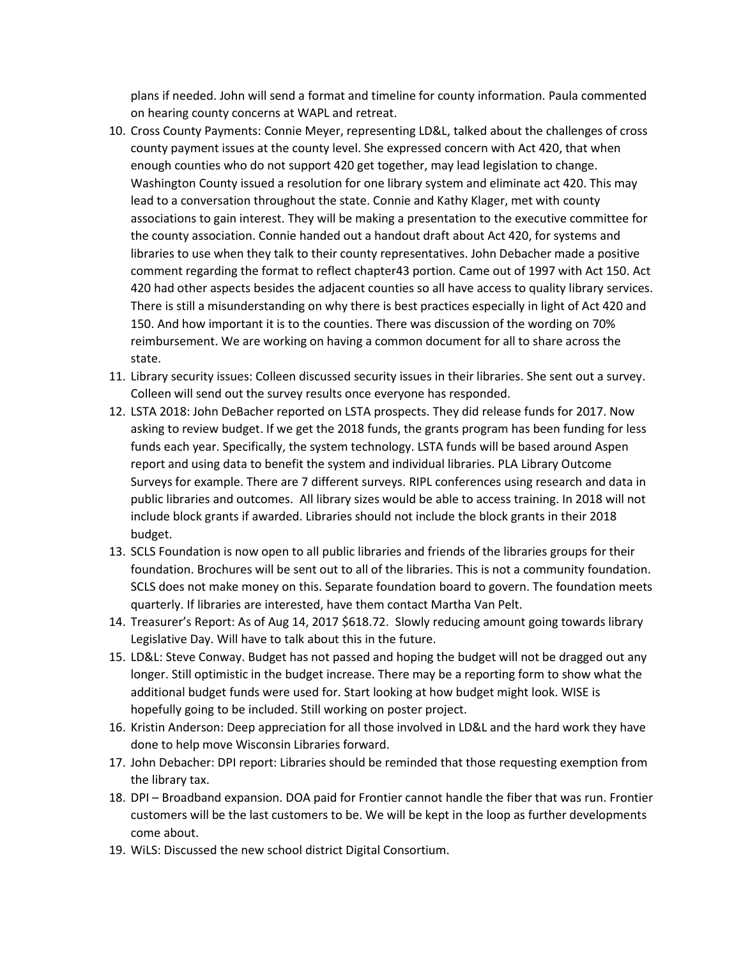plans if needed. John will send a format and timeline for county information. Paula commented on hearing county concerns at WAPL and retreat.

- 10. Cross County Payments: Connie Meyer, representing LD&L, talked about the challenges of cross county payment issues at the county level. She expressed concern with Act 420, that when enough counties who do not support 420 get together, may lead legislation to change. Washington County issued a resolution for one library system and eliminate act 420. This may lead to a conversation throughout the state. Connie and Kathy Klager, met with county associations to gain interest. They will be making a presentation to the executive committee for the county association. Connie handed out a handout draft about Act 420, for systems and libraries to use when they talk to their county representatives. John Debacher made a positive comment regarding the format to reflect chapter43 portion. Came out of 1997 with Act 150. Act 420 had other aspects besides the adjacent counties so all have access to quality library services. There is still a misunderstanding on why there is best practices especially in light of Act 420 and 150. And how important it is to the counties. There was discussion of the wording on 70% reimbursement. We are working on having a common document for all to share across the state.
- 11. Library security issues: Colleen discussed security issues in their libraries. She sent out a survey. Colleen will send out the survey results once everyone has responded.
- 12. LSTA 2018: John DeBacher reported on LSTA prospects. They did release funds for 2017. Now asking to review budget. If we get the 2018 funds, the grants program has been funding for less funds each year. Specifically, the system technology. LSTA funds will be based around Aspen report and using data to benefit the system and individual libraries. PLA Library Outcome Surveys for example. There are 7 different surveys. RIPL conferences using research and data in public libraries and outcomes. All library sizes would be able to access training. In 2018 will not include block grants if awarded. Libraries should not include the block grants in their 2018 budget.
- 13. SCLS Foundation is now open to all public libraries and friends of the libraries groups for their foundation. Brochures will be sent out to all of the libraries. This is not a community foundation. SCLS does not make money on this. Separate foundation board to govern. The foundation meets quarterly. If libraries are interested, have them contact Martha Van Pelt.
- 14. Treasurer's Report: As of Aug 14, 2017 \$618.72. Slowly reducing amount going towards library Legislative Day. Will have to talk about this in the future.
- 15. LD&L: Steve Conway. Budget has not passed and hoping the budget will not be dragged out any longer. Still optimistic in the budget increase. There may be a reporting form to show what the additional budget funds were used for. Start looking at how budget might look. WISE is hopefully going to be included. Still working on poster project.
- 16. Kristin Anderson: Deep appreciation for all those involved in LD&L and the hard work they have done to help move Wisconsin Libraries forward.
- 17. John Debacher: DPI report: Libraries should be reminded that those requesting exemption from the library tax.
- 18. DPI Broadband expansion. DOA paid for Frontier cannot handle the fiber that was run. Frontier customers will be the last customers to be. We will be kept in the loop as further developments come about.
- 19. WiLS: Discussed the new school district Digital Consortium.